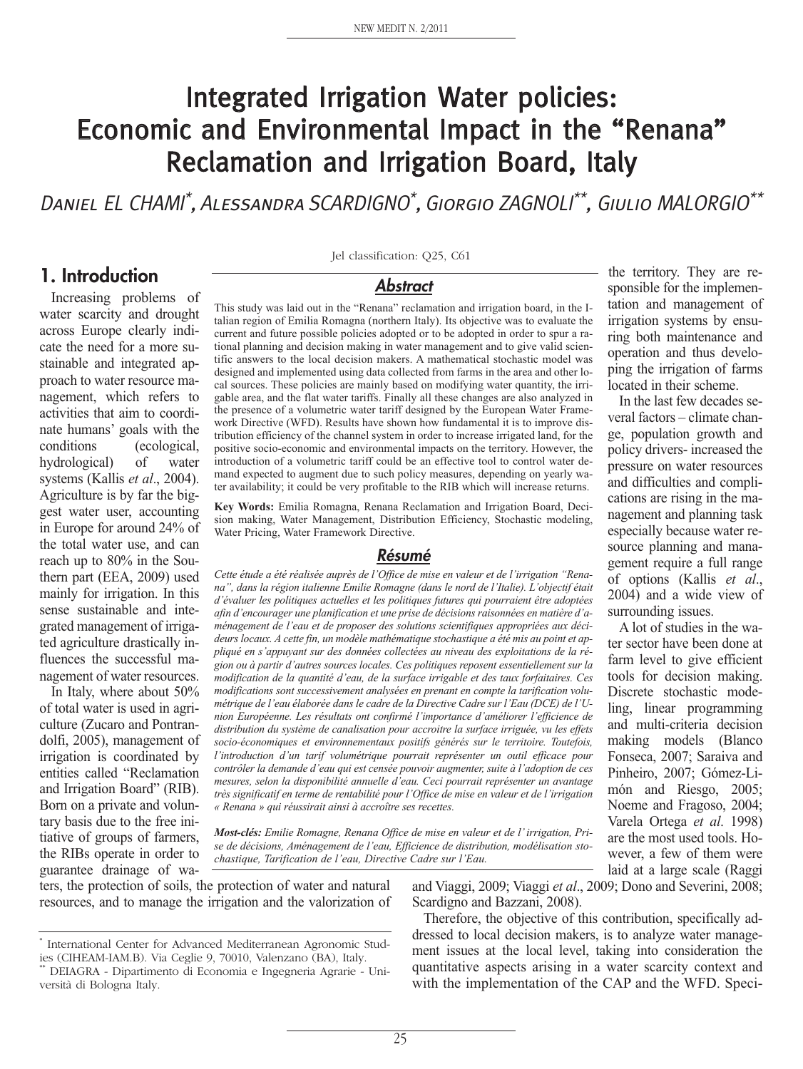# Integrated Irrigation Water policies: Economic and Environmental Impact in the "Renana" Reclamation and Irrigation Board, Italy

Daniel EL CHAMI\*, Alessandra SCARDIGNO\*, Giorgio ZAGNOLI\*\*, Giulio MALORGIO\*\*

#### **1. Introduction**

Increasing problems of water scarcity and drought across Europe clearly indicate the need for a more sustainable and integrated approach to water resource management, which refers to activities that aim to coordinate humans' goals with the conditions (ecological, hydrological) of water systems (Kallis *et al*., 2004). Agriculture is by far the biggest water user, accounting in Europe for around 24% of the total water use, and can reach up to 80% in the Southern part (EEA, 2009) used mainly for irrigation. In this sense sustainable and integrated management of irrigated agriculture drastically influences the successful management of water resources.

In Italy, where about 50% of total water is used in agriculture (Zucaro and Pontrandolfi, 2005), management of irrigation is coordinated by entities called "Reclamation and Irrigation Board" (RIB). Born on a private and voluntary basis due to the free initiative of groups of farmers, the RIBs operate in order to guarantee drainage of waJel classification: Q25, C61

#### *Abstract*

This study was laid out in the "Renana" reclamation and irrigation board, in the Italian region of Emilia Romagna (northern Italy). Its objective was to evaluate the current and future possible policies adopted or to be adopted in order to spur a rational planning and decision making in water management and to give valid scientific answers to the local decision makers. A mathematical stochastic model was designed and implemented using data collected from farms in the area and other local sources. These policies are mainly based on modifying water quantity, the irrigable area, and the flat water tariffs. Finally all these changes are also analyzed in the presence of a volumetric water tariff designed by the European Water Framework Directive (WFD). Results have shown how fundamental it is to improve distribution efficiency of the channel system in order to increase irrigated land, for the positive socio-economic and environmental impacts on the territory. However, the introduction of a volumetric tariff could be an effective tool to control water demand expected to augment due to such policy measures, depending on yearly water availability; it could be very profitable to the RIB which will increase returns.

**Key Words:** Emilia Romagna, Renana Reclamation and Irrigation Board, Decision making, Water Management, Distribution Efficiency, Stochastic modeling, Water Pricing, Water Framework Directive.

#### *Résumé*

*Cette étude a été réalisée auprès de l'Office de mise en valeur et de l'irrigation "Renana", dans la région italienne Emilie Romagne (dans le nord de l'Italie). L'objectif était d'évaluer les politiques actuelles et les politiques futures qui pourraient être adoptées afin d'encourager une planification et une prise de décisionsraisonnées en matière d'aménagement de l'eau et de proposer des solutions scientifiques appropriées aux décideurs locaux. A cette fin, un modèle mathématique stochastique a été mis au point et appliqué en s'appuyant sur des données collectées au niveau des exploitations de la région ou à partir d'autres sources locales. Ces politiques reposent essentiellement sur la modification de la quantité d'eau, de la surface irrigable et des taux forfaitaires. Ces modifications sont successivement analysées en prenant en compte la tarification volumétrique de l'eau élaborée dans le cadre de la Directive Cadre sur l'Eau (DCE) de l'Union Européenne. Les résultats ont confirmé l'importance d'améliorer l'efficience de distribution du système de canalisation pour accroitre la surface irriguée, vu les effets socio-économiques et environnementaux positifs générés sur le territoire. Toutefois, l'introduction d'un tarif volumétrique pourrait représenter un outil efficace pour contrôler la demande d'eau qui est censée pouvoir augmenter, suite à l'adoption de ces mesures, selon la disponibilité annuelle d'eau. Ceci pourrait représenter un avantage très significatif en terme de rentabilité pour l'Office de mise en valeur et de l'irrigation « Renana » qui réussirait ainsi à accroître ses recettes.*

*Most-clés: Emilie Romagne, Renana Office de mise en valeur et de l'irrigation, Prise de décisions, Aménagement de l'eau, Efficience de distribution, modélisation stochastique, Tarification de l'eau, Directive Cadre sur l'Eau.*

ters, the protection of soils, the protection of water and natural resources, and to manage the irrigation and the valorization of and Viaggi, 2009; Viaggi *et al*., 2009; Dono and Severini, 2008; Scardigno and Bazzani, 2008).

Therefore, the objective of this contribution, specifically addressed to local decision makers, is to analyze water management issues at the local level, taking into consideration the quantitative aspects arising in a water scarcity context and with the implementation of the CAP and the WFD. Speci-

the territory. They are responsible for the implementation and management of irrigation systems by ensuring both maintenance and operation and thus developing the irrigation of farms located in their scheme.

In the last few decades several factors – climate change, population growth and policy drivers- increased the pressure on water resources and difficulties and complications are rising in the management and planning task especially because water resource planning and management require a full range of options (Kallis *et al*., 2004) and a wide view of surrounding issues.

A lot of studies in the water sector have been done at farm level to give efficient tools for decision making. Discrete stochastic modeling, linear programming and multi-criteria decision making models (Blanco Fonseca, 2007; Saraiva and Pinheiro, 2007; Gómez-Limón and Riesgo, 2005; Noeme and Fragoso, 2004; Varela Ortega *et al*. 1998) are the most used tools. However, a few of them were laid at a large scale (Raggi

International Center for Advanced Mediterranean Agronomic Studies (CIHEAM-IAM.B). Via Ceglie 9, 70010, Valenzano (BA), Italy.

<sup>\*\*</sup> DEIAGRA - Dipartimento di Economia e Ingegneria Agrarie - Università di Bologna Italy.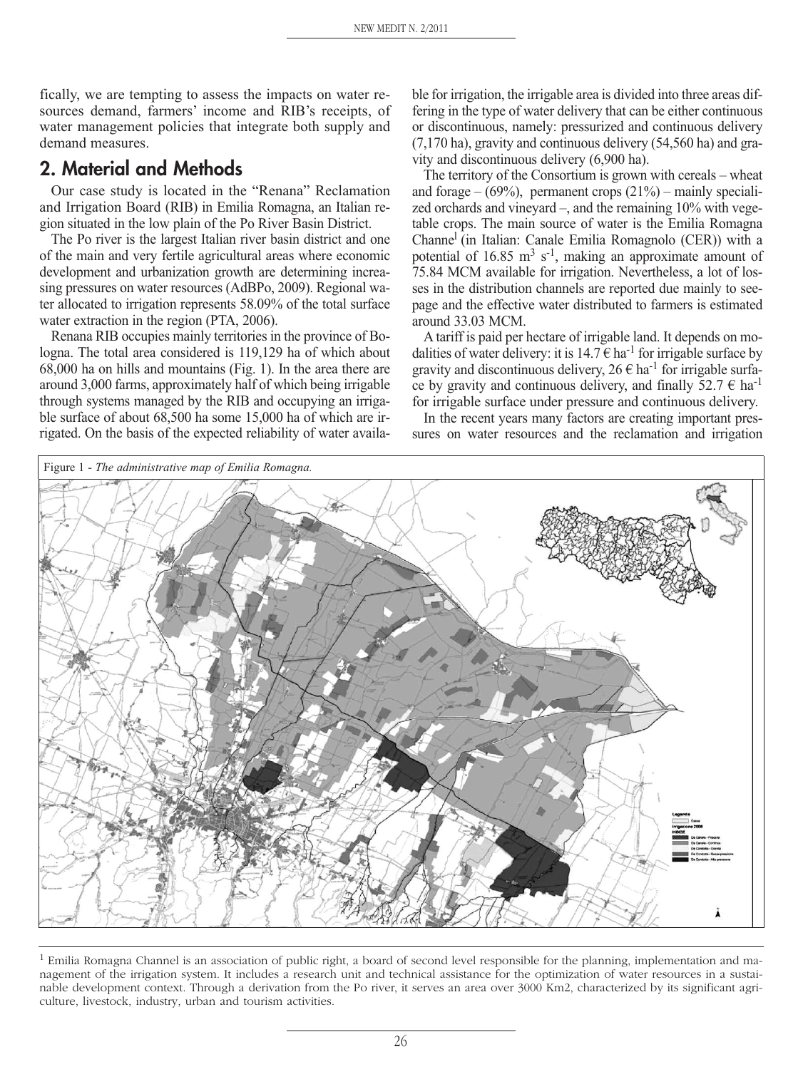fically, we are tempting to assess the impacts on water resources demand, farmers' income and RIB's receipts, of water management policies that integrate both supply and demand measures.

### **2. Material and Methods**

Our case study is located in the "Renana" Reclamation and Irrigation Board (RIB) in Emilia Romagna, an Italian region situated in the low plain of the Po River Basin District.

The Po river is the largest Italian river basin district and one of the main and very fertile agricultural areas where economic development and urbanization growth are determining increasing pressures on water resources (AdBPo, 2009). Regional water allocated to irrigation represents 58.09% of the total surface water extraction in the region (PTA, 2006).

Renana RIB occupies mainly territories in the province of Bologna. The total area considered is 119,129 ha of which about 68,000 ha on hills and mountains (Fig. 1). In the area there are around 3,000 farms, approximately half of which being irrigable through systems managed by the RIB and occupying an irrigable surface of about 68,500 ha some 15,000 ha of which are irrigated. On the basis of the expected reliability of water available for irrigation, the irrigable area is divided into three areas differing in the type of water delivery that can be either continuous or discontinuous, namely: pressurized and continuous delivery (7,170 ha), gravity and continuous delivery (54,560 ha) and gravity and discontinuous delivery (6,900 ha).

The territory of the Consortium is grown with cereals – wheat and forage –  $(69\%)$ , permanent crops  $(21\%)$  – mainly specialized orchards and vineyard –, and the remaining 10% with vegetable crops. The main source of water is the Emilia Romagna Channel (in Italian: Canale Emilia Romagnolo (CER)) with a potential of  $16.85 \text{ m}^3 \text{ s}^{-1}$ , making an approximate amount of 75.84 MCM available for irrigation. Nevertheless, a lot of losses in the distribution channels are reported due mainly to seepage and the effective water distributed to farmers is estimated around 33.03 MCM.

A tariff is paid per hectare of irrigable land. It depends on modalities of water delivery: it is  $14.7 \in \text{ha}^{-1}$  for irrigable surface by gravity and discontinuous delivery,  $26 \in ha^{-1}$  for irrigable surface by gravity and continuous delivery, and finally 52.7  $\epsilon$  ha<sup>-1</sup> for irrigable surface under pressure and continuous delivery.

In the recent years many factors are creating important pressures on water resources and the reclamation and irrigation



 $<sup>1</sup>$  Emilia Romagna Channel is an association of public right, a board of second level responsible for the planning, implementation and ma-</sup> nagement of the irrigation system. It includes a research unit and technical assistance for the optimization of water resources in a sustainable development context. Through a derivation from the Po river, it serves an area over 3000 Km2, characterized by its significant agriculture, livestock, industry, urban and tourism activities.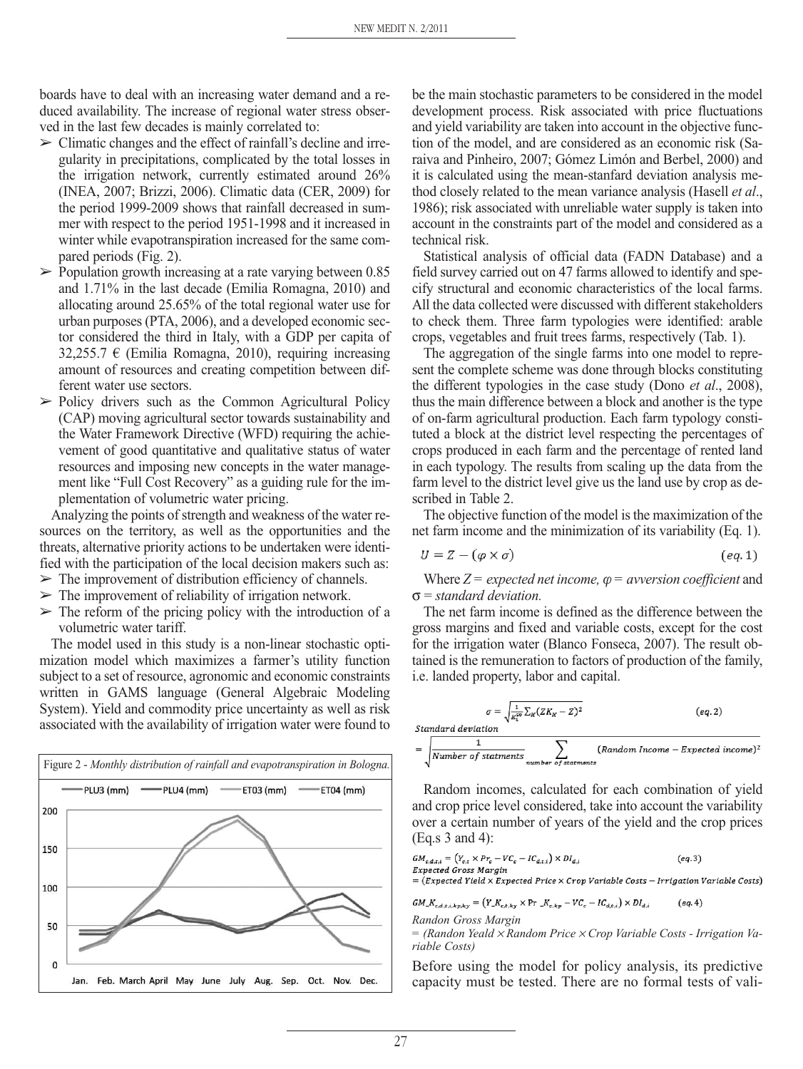boards have to deal with an increasing water demand and a reduced availability. The increase of regional water stress observed in the last few decades is mainly correlated to:

- $\triangleright$  Climatic changes and the effect of rainfall's decline and irregularity in precipitations, complicated by the total losses in the irrigation network, currently estimated around 26% (INEA, 2007; Brizzi, 2006). Climatic data (CER, 2009) for the period 1999-2009 shows that rainfall decreased in summer with respect to the period 1951-1998 and it increased in winter while evapotranspiration increased for the same compared periods (Fig. 2).
- $\triangleright$  Population growth increasing at a rate varying between 0.85 and 1.71% in the last decade (Emilia Romagna, 2010) and allocating around 25.65% of the total regional water use for urban purposes (PTA, 2006), and a developed economic sector considered the third in Italy, with a GDP per capita of 32,255.7  $\epsilon$  (Emilia Romagna, 2010), requiring increasing amount of resources and creating competition between different water use sectors.
- $\triangleright$  Policy drivers such as the Common Agricultural Policy (CAP) moving agricultural sector towards sustainability and the Water Framework Directive (WFD) requiring the achievement of good quantitative and qualitative status of water resources and imposing new concepts in the water management like "Full Cost Recovery" as a guiding rule for the implementation of volumetric water pricing.

Analyzing the points of strength and weakness of the water resources on the territory, as well as the opportunities and the threats, alternative priority actions to be undertaken were identified with the participation of the local decision makers such as:

- $\triangleright$  The improvement of distribution efficiency of channels.
- $\triangleright$  The improvement of reliability of irrigation network.
- $\geq$  The reform of the pricing policy with the introduction of a volumetric water tariff.

The model used in this study is a non-linear stochastic optimization model which maximizes a farmer's utility function subject to a set of resource, agronomic and economic constraints written in GAMS language (General Algebraic Modeling System). Yield and commodity price uncertainty as well as risk associated with the availability of irrigation water were found to



be the main stochastic parameters to be considered in the model development process. Risk associated with price fluctuations and yield variability are taken into account in the objective function of the model, and are considered as an economic risk (Saraiva and Pinheiro, 2007; Gómez Limón and Berbel, 2000) and it is calculated using the mean-stanfard deviation analysis method closely related to the mean variance analysis (Hasell *et al*., 1986); risk associated with unreliable water supply is taken into account in the constraints part of the model and considered as a technical risk.

Statistical analysis of official data (FADN Database) and a field survey carried out on 47 farms allowed to identify and specify structural and economic characteristics of the local farms. All the data collected were discussed with different stakeholders to check them. Three farm typologies were identified: arable crops, vegetables and fruit trees farms, respectively (Tab. 1).

The aggregation of the single farms into one model to represent the complete scheme was done through blocks constituting the different typologies in the case study (Dono *et al*., 2008), thus the main difference between a block and another is the type of on-farm agricultural production. Each farm typology constituted a block at the district level respecting the percentages of crops produced in each farm and the percentage of rented land in each typology. The results from scaling up the data from the farm level to the district level give us the land use by crop as described in Table 2.

The objective function of the model is the maximization of the net farm income and the minimization of its variability (Eq. 1).

$$
U = Z - (\varphi \times \sigma) \tag{eq.1}
$$

Where  $Z = expected$  *net income,*  $\varphi = a$  *<i>vversion coefficient* and σ = *standard deviation.*

The net farm income is defined as the difference between the gross margins and fixed and variable costs, except for the cost for the irrigation water (Blanco Fonseca, 2007). The result obtained is the remuneration to factors of production of the family, i.e. landed property, labor and capital.

$$
\sigma = \sqrt{\frac{1}{k_1^{sg}} \sum_K (ZK_K - Z)^2}
$$
 (eq.2)  
Standard deviation  

$$
= \sqrt{\frac{1}{Number of statements}} \sum_{numbar of statements} (Random Income - Expected income)^2
$$

Random incomes, calculated for each combination of yield and crop price level considered, take into account the variability over a certain number of years of the yield and the crop prices (Eq.s 3 and 4):

$$
GM_{c,d,t,i} = (Y_{c,t} \times Pr_c - VC_c - IC_{d,t,i}) \times DI_{d,i}
$$
 (eq.3)  
Expected Gross Margin  
= (Expected Yield × Expected Price × Crop Variable Costs - Irrigation Variable Costs)  

$$
GM \times C = (V \times V) \times Pr = -VC - IC \quad V \times DI
$$
 (eq.4)

 $K_{c,d,t,i,kp,ky} = (Y_{-}K_{c,t,ky} \times \text{Pr}^{-1} K_{c,kp})$  $-VC_{\sigma}-IC_{d,t,i})\times DI_{d,i}$ 

*Randon Gross Margin*

*= (Randon Yeald* <sup>×</sup> *Random Price* <sup>×</sup> *Crop Variable Costs - Irrigation Variable Costs)*

Before using the model for policy analysis, its predictive capacity must be tested. There are no formal tests of vali-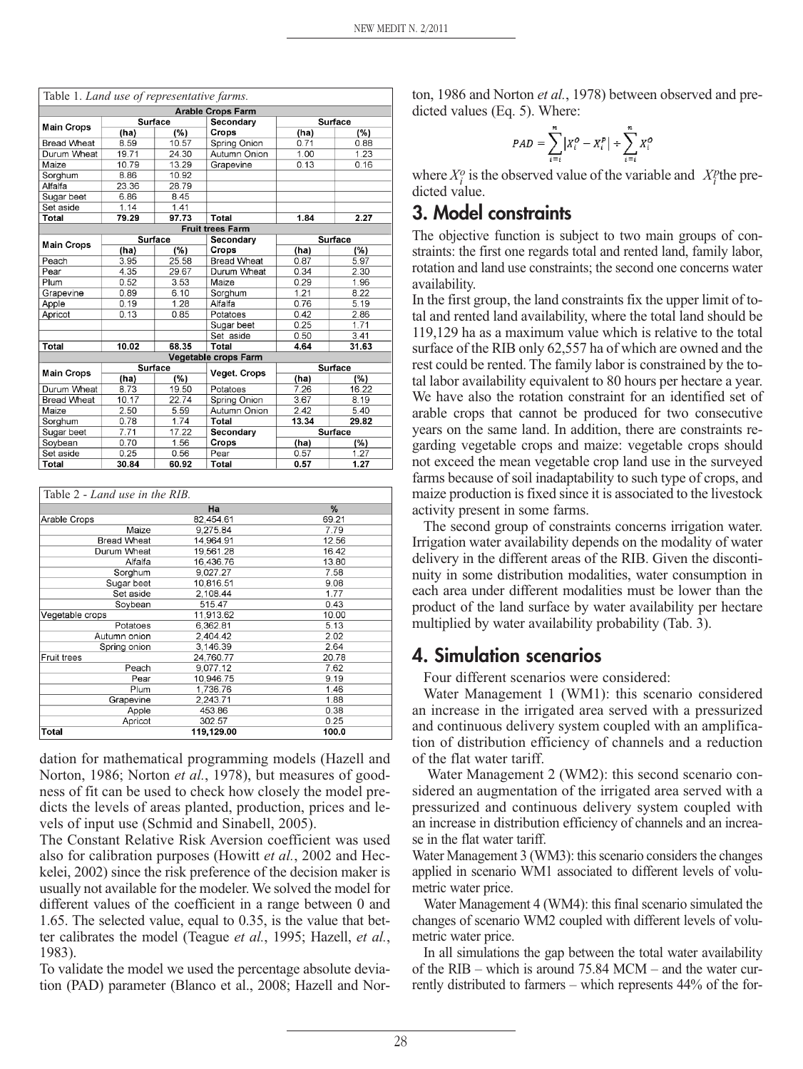| Table 1. Land use of representative farms. |                |       |                          |                |                |
|--------------------------------------------|----------------|-------|--------------------------|----------------|----------------|
|                                            |                |       | <b>Arable Crops Farm</b> |                |                |
| <b>Main Crops</b>                          | <b>Surface</b> |       | Secondary                |                | <b>Surface</b> |
|                                            | (ha)           | (%)   | Crops                    | (ha)           | (%)            |
| <b>Bread Wheat</b>                         | 8.59           | 10.57 | Spring Onion             | 0.71           | 0.88           |
| Durum Wheat                                | 19.71          | 24.30 | Autumn Onion             | 1.00           | 1.23           |
| Maize                                      | 10.79          | 13.29 | Grapevine                | 0.13           | 0.16           |
| Sorghum                                    | 8.86           | 10.92 |                          |                |                |
| Alfalfa                                    | 23.36          | 28.79 |                          |                |                |
| Sugar beet                                 | 6.86           | 8.45  |                          |                |                |
| Set aside                                  | 1.14           | 1.41  |                          |                |                |
| Total                                      | 79.29          | 97.73 | <b>Total</b>             | 1.84           | 2.27           |
|                                            |                |       | <b>Fruit trees Farm</b>  |                |                |
|                                            | <b>Surface</b> |       | Secondary                | <b>Surface</b> |                |
| <b>Main Crops</b>                          | (ha)           | (%)   | Crops                    | (ha)           | (%)            |
| Peach                                      | 3.95           | 25.58 | <b>Bread Wheat</b>       | 0.87           | 5.97           |
| Pear                                       | 4.35           | 29.67 | Durum Wheat              | 0.34           | 2.30           |
| Plum                                       | 0.52           | 3.53  | Maize                    | 0.29           | 1.96           |
| Grapevine                                  | 0.89           | 6.10  | Sorghum                  | 1.21           | 8.22           |
| Apple                                      | 0.19           | 1.28  | Alfalfa                  | 0.76           | 5.19           |
| Apricot                                    | 0.13           | 0.85  | Potatoes                 | 0.42           | 2.86           |
|                                            |                |       | Sugar beet               | 0.25           | 1.71           |
|                                            |                |       | Set aside                | 0.50           | 3.41           |
| <b>Total</b>                               | 10.02          | 68.35 | Total                    | 4.64           | 31.63          |
|                                            |                |       | Vegetable crops Farm     |                |                |
| <b>Main Crops</b>                          | <b>Surface</b> |       | <b>Veget. Crops</b>      | <b>Surface</b> |                |
|                                            | (ha)           | (%)   |                          | (ha)           | (%)            |
| Durum Wheat                                | 8.73           | 19.50 | Potatoes                 | 7.26           | 16.22          |
| <b>Bread Wheat</b>                         | 10.17          | 22.74 | Spring Onion             | 3.67           | 8.19           |
| Maize                                      | 2.50           | 5.59  | Autumn Onion             | 2.42           | 5.40           |
| Sorghum                                    | 0.78           | 1.74  | Total                    | 13.34          | 29.82          |
| Sugar beet                                 | 7.71           | 17.22 | Secondary                | <b>Surface</b> |                |
| Soybean                                    | 0.70           | 1.56  | Crops                    | (ha)           | (%)            |
| Set aside                                  | 0.25           | 0.56  | Pear                     | 0.57           | 1.27           |
| Total                                      | 30.84          | 60.92 | Total                    | 0.57           | 1.27           |

| Table 2 - Land use in the RIB. |            |       |
|--------------------------------|------------|-------|
|                                | Ha         | %     |
| Arable Crops                   | 82.454.61  | 69.21 |
| Maize                          | 9,275.84   | 7.79  |
| <b>Bread Wheat</b>             | 14.964.91  | 12.56 |
| Durum Wheat                    | 19,561.28  | 16.42 |
| Alfalfa                        | 16,436.76  | 13.80 |
| Sorghum                        | 9,027.27   | 7.58  |
| Sugar beet                     | 10,816.51  | 9.08  |
| Set aside                      | 2,108.44   | 1.77  |
| Soybean                        | 515.47     | 0.43  |
| Vegetable crops                | 11,913.62  | 10.00 |
| Potatoes                       | 6,362.81   | 5.13  |
| Autumn onion                   | 2,404.42   | 2.02  |
| Spring onion                   | 3,146.39   | 2.64  |
| Fruit trees                    | 24.760.77  | 20.78 |
| Peach                          | 9,077.12   | 7.62  |
| Pear                           | 10.946.75  | 9.19  |
| Plum                           | 1,736.76   | 1.46  |
| Grapevine                      | 2.243.71   | 1.88  |
| Apple                          | 453.86     | 0.38  |
| Apricot                        | 302.57     | 0.25  |
| Total                          | 119,129.00 | 100.0 |

dation for mathematical programming models (Hazell and Norton, 1986; Norton *et al.*, 1978), but measures of goodness of fit can be used to check how closely the model predicts the levels of areas planted, production, prices and levels of input use (Schmid and Sinabell, 2005).

The Constant Relative Risk Aversion coefficient was used also for calibration purposes (Howitt *et al.*, 2002 and Heckelei, 2002) since the risk preference of the decision maker is usually not available for the modeler. We solved the model for different values of the coefficient in a range between 0 and 1.65. The selected value, equal to 0.35, is the value that better calibrates the model (Teague *et al.*, 1995; Hazell, *et al.*, 1983).

To validate the model we used the percentage absolute deviation (PAD) parameter (Blanco et al., 2008; Hazell and Norton, 1986 and Norton *et al.*, 1978) between observed and predicted values (Eq. 5). Where:

$$
PAD = \sum_{i=i}^{n} \left| X_i^O - X_i^P \right| + \sum_{i=i}^{n} X_i^O
$$

where  $X_i^o$  is the observed value of the variable and  $X_i^p$  the predicted value.

# **3. Model constraints**

The objective function is subject to two main groups of constraints: the first one regards total and rented land, family labor, rotation and land use constraints; the second one concerns water availability.

In the first group, the land constraints fix the upper limit of total and rented land availability, where the total land should be 119,129 ha as a maximum value which is relative to the total surface of the RIB only 62,557 ha of which are owned and the rest could be rented. The family labor is constrained by the total labor availability equivalent to 80 hours per hectare a year. We have also the rotation constraint for an identified set of arable crops that cannot be produced for two consecutive years on the same land. In addition, there are constraints regarding vegetable crops and maize: vegetable crops should not exceed the mean vegetable crop land use in the surveyed farms because of soil inadaptability to such type of crops, and maize production is fixed since it is associated to the livestock activity present in some farms.

The second group of constraints concerns irrigation water. Irrigation water availability depends on the modality of water delivery in the different areas of the RIB. Given the discontinuity in some distribution modalities, water consumption in each area under different modalities must be lower than the product of the land surface by water availability per hectare multiplied by water availability probability (Tab. 3).

### **4. Simulation scenarios**

Four different scenarios were considered:

Water Management 1 (WM1): this scenario considered an increase in the irrigated area served with a pressurized and continuous delivery system coupled with an amplification of distribution efficiency of channels and a reduction of the flat water tariff.

Water Management 2 (WM2): this second scenario considered an augmentation of the irrigated area served with a pressurized and continuous delivery system coupled with an increase in distribution efficiency of channels and an increase in the flat water tariff.

Water Management 3 (WM3): this scenario considers the changes applied in scenario WM1 associated to different levels of volumetric water price.

Water Management 4 (WM4): this final scenario simulated the changes of scenario WM2 coupled with different levels of volumetric water price.

In all simulations the gap between the total water availability of the RIB – which is around 75.84 MCM – and the water currently distributed to farmers – which represents 44% of the for-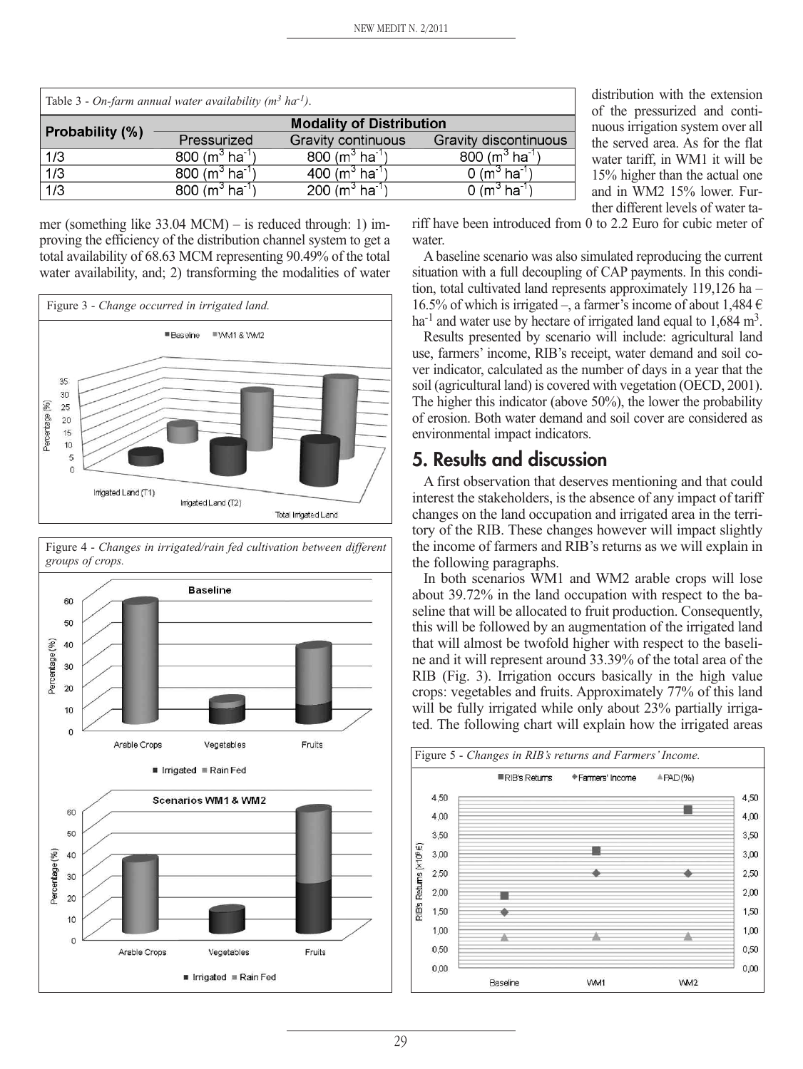| Table 3 - On-farm annual water availability ( $m^3$ ha <sup>-1</sup> ). |                                        |                                       |                                      |  |  |  |
|-------------------------------------------------------------------------|----------------------------------------|---------------------------------------|--------------------------------------|--|--|--|
|                                                                         | <b>Modality of Distribution</b>        |                                       |                                      |  |  |  |
| <b>Probability (%)</b>                                                  | Pressurized                            | Gravity continuous                    | Gravity discontinuous                |  |  |  |
| 1/3                                                                     | 800 (m <sup>3</sup> ha <sup>-1</sup> ) | $800 (m3 ha-1)$                       | 800 ( $m^3$ ha <sup>-1</sup> )       |  |  |  |
| $\overline{1/3}$                                                        | 800 (m <sup>3</sup> ha <sup>-1</sup> ) | $400 (m3 ha-1)$                       | 0 (m $^3$ ha $^{-1}$ )               |  |  |  |
| 1/3                                                                     | 800 (m <sup>3</sup> ha <sup>-1</sup> ) | 200 (m <sup>3</sup> ha <sup>1</sup> ) | 0 (m <sup>3</sup> ha <sup>-1</sup> ) |  |  |  |

distribution with the extension of the pressurized and continuous irrigation system over all the served area. As for the flat water tariff, in WM1 it will be 15% higher than the actual one and in WM2 15% lower. Further different levels of water ta-

mer (something like 33.04 MCM) – is reduced through: 1) improving the efficiency of the distribution channel system to get a total availability of 68.63 MCM representing 90.49% of the total water availability, and; 2) transforming the modalities of water





riff have been introduced from 0 to 2.2 Euro for cubic meter of water.

A baseline scenario was also simulated reproducing the current situation with a full decoupling of CAP payments. In this condition, total cultivated land represents approximately 119,126 ha – 16.5% of which is irrigated –, a farmer's income of about 1,484  $\in$ ha<sup>-1</sup> and water use by hectare of irrigated land equal to  $1,684 \text{ m}^3$ .

Results presented by scenario will include: agricultural land use, farmers' income, RIB's receipt, water demand and soil cover indicator, calculated as the number of days in a year that the soil (agricultural land) is covered with vegetation (OECD, 2001). The higher this indicator (above 50%), the lower the probability of erosion. Both water demand and soil cover are considered as environmental impact indicators.

# **5. Results and discussion**

A first observation that deserves mentioning and that could interest the stakeholders, is the absence of any impact of tariff changes on the land occupation and irrigated area in the territory of the RIB. These changes however will impact slightly the income of farmers and RIB's returns as we will explain in the following paragraphs.

In both scenarios WM1 and WM2 arable crops will lose about 39.72% in the land occupation with respect to the baseline that will be allocated to fruit production. Consequently, this will be followed by an augmentation of the irrigated land that will almost be twofold higher with respect to the baseline and it will represent around 33.39% of the total area of the RIB (Fig. 3). Irrigation occurs basically in the high value crops: vegetables and fruits. Approximately 77% of this land will be fully irrigated while only about 23% partially irrigated. The following chart will explain how the irrigated areas

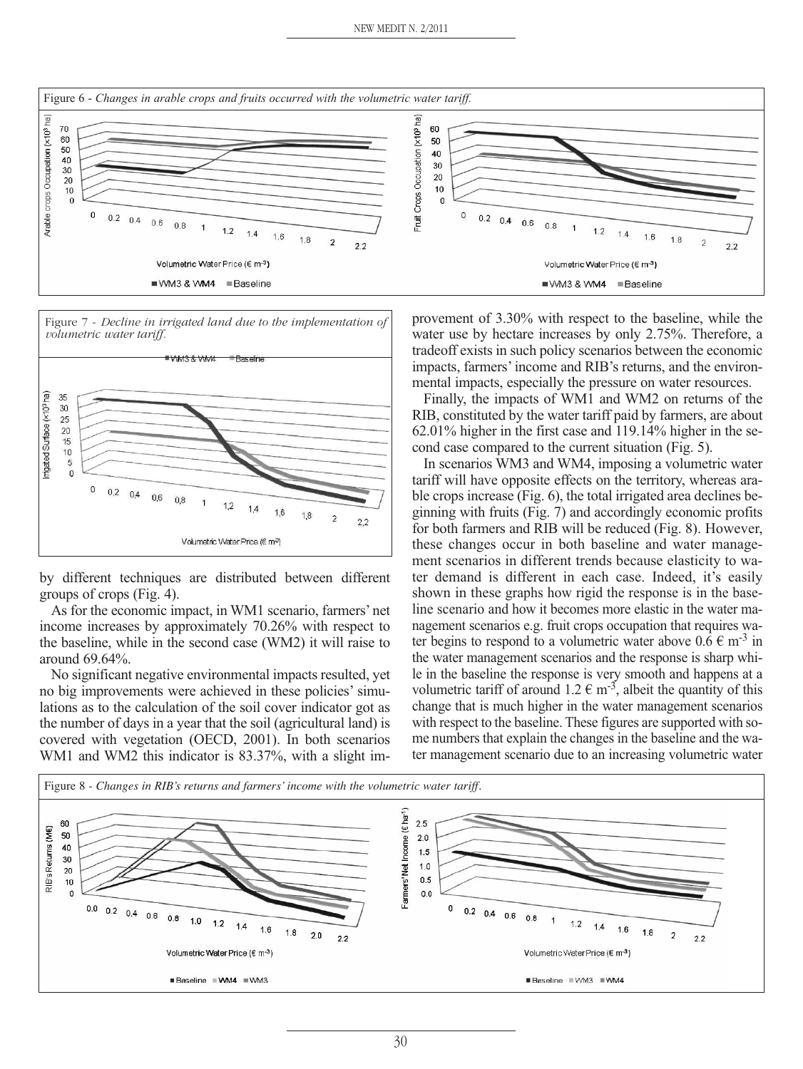



by different techniques are distributed between different groups of crops (Fig. 4).

As for the economic impact, in WM1 scenario, farmers' net income increases by approximately 70.26% with respect to the baseline, while in the second case (WM2) it will raise to around 69.64%.

No significant negative environmental impacts resulted, yet no big improvements were achieved in these policies' simulations as to the calculation of the soil cover indicator got as the number of days in a year that the soil (agricultural land) is covered with vegetation (OECD, 2001). In both scenarios WM1 and WM2 this indicator is 83.37%, with a slight improvement of 3.30% with respect to the baseline, while the water use by hectare increases by only 2.75%. Therefore, a tradeoff exists in such policy scenarios between the economic impacts, farmers'income and RIB's returns, and the environmental impacts, especially the pressure on water resources.

Finally, the impacts of WM1 and WM2 on returns of the RIB, constituted by the water tariff paid by farmers, are about 62.01% higher in the first case and 119.14% higher in the second case compared to the current situation (Fig. 5).

In scenarios WM3 and WM4, imposing a volumetric water tariff will have opposite effects on the territory, whereas arable crops increase (Fig. 6), the total irrigated area declines beginning with fruits (Fig. 7) and accordingly economic profits for both farmers and RIB will be reduced (Fig. 8). However, these changes occur in both baseline and water management scenarios in different trends because elasticity to water demand is different in each case. Indeed, it's easily shown in these graphs how rigid the response is in the baseline scenario and how it becomes more elastic in the water management scenarios e.g. fruit crops occupation that requires water begins to respond to a volumetric water above  $0.6 \text{ } \in \text{ } m^{-3}$  in the water management scenarios and the response is sharp while in the baseline the response is very smooth and happens at a volumetric tariff of around  $1.2 \in \text{m}^{-3}$ , albeit the quantity of this change that is much higher in the water management scenarios with respect to the baseline. These figures are supported with some numbers that explain the changes in the baseline and the water management scenario due to an increasing volumetric water

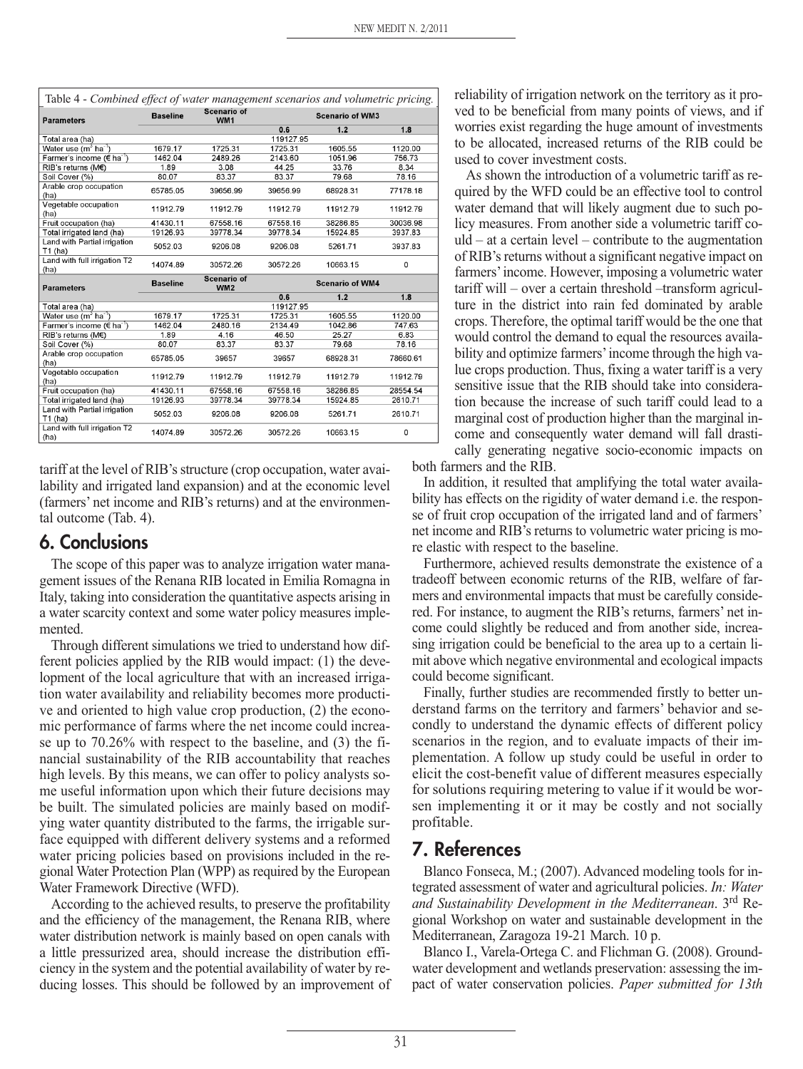| Table 4 - Combined effect of water management scenarios and volumetric pricing. |                 |                                  |                        |          |          |  |
|---------------------------------------------------------------------------------|-----------------|----------------------------------|------------------------|----------|----------|--|
| <b>Parameters</b>                                                               | <b>Baseline</b> | <b>Scenario of</b><br>WM1        | <b>Scenario of WM3</b> |          |          |  |
|                                                                                 |                 |                                  | 0.6                    | 1.2      | 1.8      |  |
| Total area (ha)                                                                 |                 |                                  | 119127.95              |          |          |  |
| Water use (m <sup>3</sup> ha <sup>1</sup> )                                     | 1679.17         | 1725.31                          | 1725.31                | 1605.55  | 1120.00  |  |
| Farmer's income (€ ha <sup>-1</sup> )                                           | 1462.04         | 2489.26                          | 2143.60                | 1051.96  | 756.73   |  |
| RIB's returns (M€)                                                              | 1.89            | 3.08                             | 44.25                  | 33.76    | 8.34     |  |
| Soil Cover (%)                                                                  | 80.07           | 83.37                            | 83.37                  | 79.68    | 78.16    |  |
| Arable crop occupation<br>(ha)                                                  | 65785.05        | 39656.99                         | 39656.99               | 68928.31 | 77178.18 |  |
| Vegetable occupation<br>(ha)                                                    | 11912.79        | 11912.79                         | 11912.79               | 11912.79 | 11912.79 |  |
| Fruit occupation (ha)                                                           | 41430.11        | 67558.16                         | 67558.16               | 38286.85 | 30036.98 |  |
| Total irrigated land (ha)                                                       | 19126.93        | 39778.34                         | 39778.34               | 15924.85 | 3937.83  |  |
| Land with Partial irrigation<br>T1 (ha)                                         | 5052.03         | 9206.08                          | 9206.08                | 5261.71  | 3937.83  |  |
| Land with full irrigation T2<br>(ha)                                            | 14074.89        | 30572.26                         | 30572.26               | 10663.15 | 0        |  |
| <b>Parameters</b>                                                               | <b>Baseline</b> | <b>Scenario of</b><br><b>WM2</b> | <b>Scenario of WM4</b> |          |          |  |
|                                                                                 |                 |                                  | 0.6                    | $1.2$    | 1.8      |  |
| Total area (ha)                                                                 |                 |                                  | 119127.95              |          |          |  |
| Water use (m <sup>3</sup> ha <sup>-1</sup> )                                    | 1679.17         | 1725.31                          | 1725.31                | 1605.55  | 1120.00  |  |
| Farmer's income (€ ha <sup>-1</sup> )                                           | 1462.04         | 2480.16                          | 2134.49                | 1042.86  | 747.63   |  |
| RIB's returns (M€)                                                              | 1.89            | 4.16                             | 46.50                  | 25.27    | 6.83     |  |
| Soil Cover (%)                                                                  | 80.07           | 83.37                            | 83.37                  | 79.68    | 78.16    |  |
| Arable crop occupation<br>(ha)                                                  | 65785.05        | 39657                            | 39657                  | 68928.31 | 78660.61 |  |
| Vegetable occupation<br>(ha)                                                    | 11912.79        | 11912.79                         | 11912.79               | 11912.79 | 11912.79 |  |
| Fruit occupation (ha)                                                           | 41430.11        | 67558.16                         | 67558.16               | 38286.85 | 28554.54 |  |
| Total irrigated land (ha)                                                       | 19126.93        | 39778.34                         | 39778.34               | 15924.85 | 2610.71  |  |
| Land with Partial irrigation<br>T1 (ha)                                         | 5052.03         | 9206.08                          | 9206.08                | 5261.71  | 2610.71  |  |
| Land with full irrigation T2<br>(ha)                                            | 14074.89        | 30572.26                         | 30572.26               | 10663.15 | 0        |  |

tariff at the level of RIB's structure (crop occupation, water availability and irrigated land expansion) and at the economic level (farmers' net income and RIB's returns) and at the environmental outcome (Tab. 4).

### **6. Conclusions**

The scope of this paper was to analyze irrigation water management issues of the Renana RIB located in Emilia Romagna in Italy, taking into consideration the quantitative aspects arising in a water scarcity context and some water policy measures implemented.

Through different simulations we tried to understand how different policies applied by the RIB would impact: (1) the development of the local agriculture that with an increased irrigation water availability and reliability becomes more productive and oriented to high value crop production, (2) the economic performance of farms where the net income could increase up to 70.26% with respect to the baseline, and (3) the financial sustainability of the RIB accountability that reaches high levels. By this means, we can offer to policy analysts some useful information upon which their future decisions may be built. The simulated policies are mainly based on modifying water quantity distributed to the farms, the irrigable surface equipped with different delivery systems and a reformed water pricing policies based on provisions included in the regional Water Protection Plan (WPP) as required by the European Water Framework Directive (WFD).

According to the achieved results, to preserve the profitability and the efficiency of the management, the Renana RIB, where water distribution network is mainly based on open canals with a little pressurized area, should increase the distribution efficiency in the system and the potential availability of water by reducing losses. This should be followed by an improvement of reliability of irrigation network on the territory as it proved to be beneficial from many points of views, and if worries exist regarding the huge amount of investments to be allocated, increased returns of the RIB could be used to cover investment costs.

As shown the introduction of a volumetric tariff as required by the WFD could be an effective tool to control water demand that will likely augment due to such policy measures. From another side a volumetric tariff co $uld - at a certain level - contribute to the augmentation$ of RIB's returns without a significant negative impact on farmers'income. However, imposing a volumetric water tariff will – over a certain threshold –transform agriculture in the district into rain fed dominated by arable crops. Therefore, the optimal tariff would be the one that would control the demand to equal the resources availability and optimize farmers'income through the high value crops production. Thus, fixing a water tariff is a very sensitive issue that the RIB should take into consideration because the increase of such tariff could lead to a marginal cost of production higher than the marginal income and consequently water demand will fall drastically generating negative socio-economic impacts on

both farmers and the RIB.

In addition, it resulted that amplifying the total water availability has effects on the rigidity of water demand i.e. the response of fruit crop occupation of the irrigated land and of farmers' net income and RIB's returns to volumetric water pricing is more elastic with respect to the baseline.

Furthermore, achieved results demonstrate the existence of a tradeoff between economic returns of the RIB, welfare of farmers and environmental impacts that must be carefully considered. For instance, to augment the RIB's returns, farmers' net income could slightly be reduced and from another side, increasing irrigation could be beneficial to the area up to a certain limit above which negative environmental and ecological impacts could become significant.

Finally, further studies are recommended firstly to better understand farms on the territory and farmers' behavior and secondly to understand the dynamic effects of different policy scenarios in the region, and to evaluate impacts of their implementation. A follow up study could be useful in order to elicit the cost-benefit value of different measures especially for solutions requiring metering to value if it would be worsen implementing it or it may be costly and not socially profitable.

### **7. References**

Blanco Fonseca, M.; (2007). Advanced modeling tools for integrated assessment of water and agricultural policies. *In: Water and Sustainability Development in the Mediterranean*. 3rd Regional Workshop on water and sustainable development in the Mediterranean, Zaragoza 19-21 March. 10 p.

Blanco I., Varela-Ortega C. and Flichman G. (2008). Groundwater development and wetlands preservation: assessing the impact of water conservation policies. *Paper submitted for 13th*